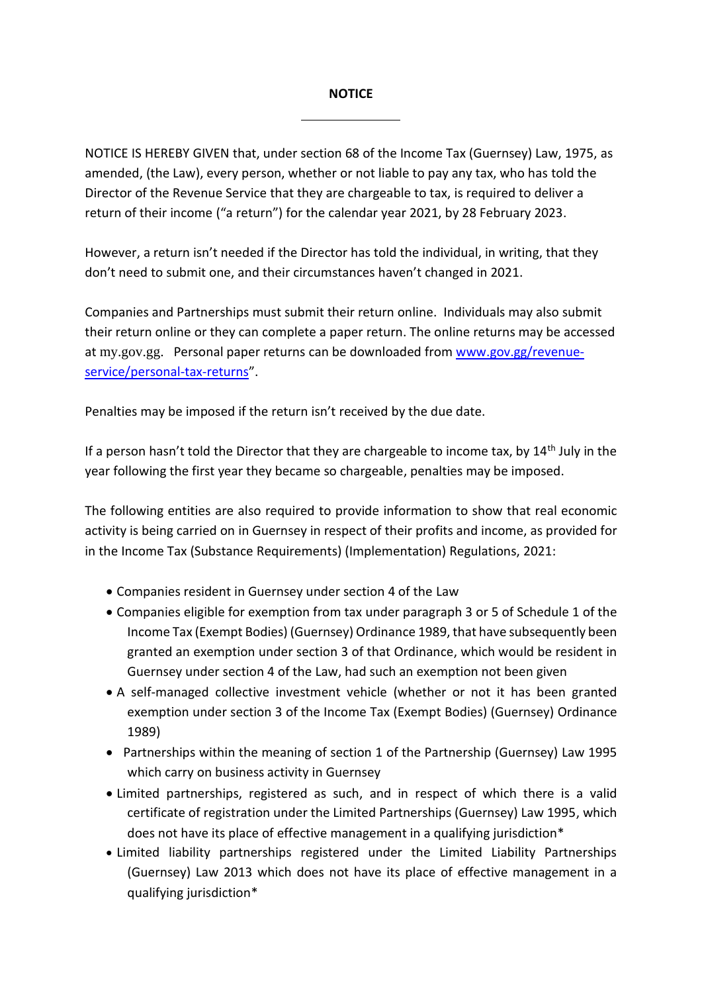## **NOTICE**

NOTICE IS HEREBY GIVEN that, under section 68 of the Income Tax (Guernsey) Law, 1975, as amended, (the Law), every person, whether or not liable to pay any tax, who has told the Director of the Revenue Service that they are chargeable to tax, is required to deliver a return of their income ("a return") for the calendar year 2021, by 28 February 2023.

However, a return isn't needed if the Director has told the individual, in writing, that they don't need to submit one, and their circumstances haven't changed in 2021.

Companies and Partnerships must submit their return online. Individuals may also submit their return online or they can complete a paper return. The online returns may be accessed at my.gov.gg. Personal paper returns can be downloaded fro[m www.gov.gg/revenue](http://www.gov.gg/revenue-service/personal-tax-returns)[service/personal-tax-returns](http://www.gov.gg/revenue-service/personal-tax-returns)".

Penalties may be imposed if the return isn't received by the due date.

If a person hasn't told the Director that they are chargeable to income tax, by 14<sup>th</sup> July in the year following the first year they became so chargeable, penalties may be imposed.

The following entities are also required to provide information to show that real economic activity is being carried on in Guernsey in respect of their profits and income, as provided for in the Income Tax (Substance Requirements) (Implementation) Regulations, 2021:

- Companies resident in Guernsey under section 4 of the Law
- Companies eligible for exemption from tax under paragraph 3 or 5 of Schedule 1 of the Income Tax (Exempt Bodies) (Guernsey) Ordinance 1989, that have subsequently been granted an exemption under section 3 of that Ordinance, which would be resident in Guernsey under section 4 of the Law, had such an exemption not been given
- A self-managed collective investment vehicle (whether or not it has been granted exemption under section 3 of the Income Tax (Exempt Bodies) (Guernsey) Ordinance 1989)
- Partnerships within the meaning of section 1 of the Partnership (Guernsey) Law 1995 which carry on business activity in Guernsey
- Limited partnerships, registered as such, and in respect of which there is a valid certificate of registration under the Limited Partnerships (Guernsey) Law 1995, which does not have its place of effective management in a qualifying jurisdiction\*
- Limited liability partnerships registered under the Limited Liability Partnerships (Guernsey) Law 2013 which does not have its place of effective management in a qualifying jurisdiction\*